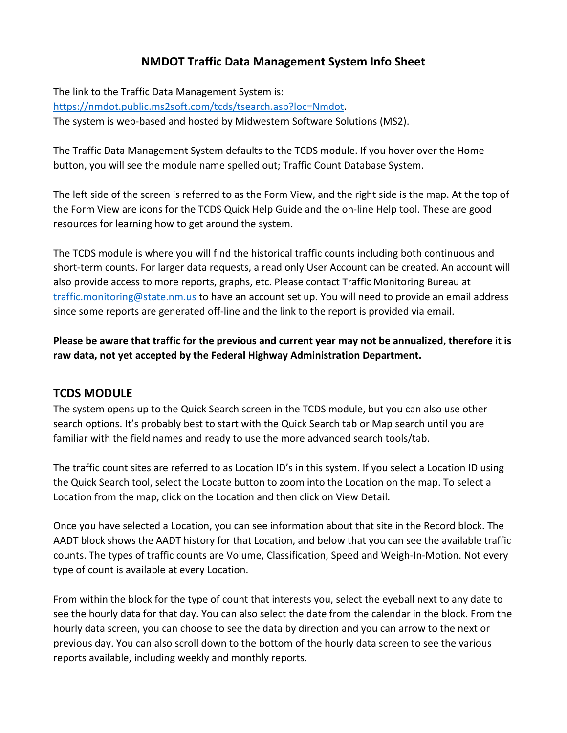## **NMDOT Traffic Data Management System Info Sheet**

The link to the Traffic Data Management System is: [https://nmdot.public.ms2soft.com/tcds/tsearch.asp?loc=Nmdot.](https://nmdot.public.ms2soft.com/tcds/tsearch.asp?loc=Nmdot) The system is web‐based and hosted by Midwestern Software Solutions (MS2).

The Traffic Data Management System defaults to the TCDS module. If you hover over the Home button, you will see the module name spelled out; Traffic Count Database System.

The left side of the screen is referred to as the Form View, and the right side is the map. At the top of the Form View are icons for the TCDS Quick Help Guide and the on‐line Help tool. These are good resources for learning how to get around the system.

The TCDS module is where you will find the historical traffic counts including both continuous and short‐term counts. For larger data requests, a read only User Account can be created. An account will also provide access to more reports, graphs, etc. Please contact Traffic Monitoring Bureau at [traffic.monitoring@state.nm.us](mailto:traffic.monitoring@state.nm.us) to have an account set up. You will need to provide an email address since some reports are generated off‐line and the link to the report is provided via email.

**Please be aware that traffic for the previous and current year may not be annualized, therefore it is raw data, not yet accepted by the Federal Highway Administration Department.**

## **TCDS MODULE**

The system opens up to the Quick Search screen in the TCDS module, but you can also use other search options. It's probably best to start with the Quick Search tab or Map search until you are familiar with the field names and ready to use the more advanced search tools/tab.

The traffic count sites are referred to as Location ID's in this system. If you select a Location ID using the Quick Search tool, select the Locate button to zoom into the Location on the map. To select a Location from the map, click on the Location and then click on View Detail.

Once you have selected a Location, you can see information about that site in the Record block. The AADT block shows the AADT history for that Location, and below that you can see the available traffic counts. The types of traffic counts are Volume, Classification, Speed and Weigh‐In‐Motion. Not every type of count is available at every Location.

From within the block for the type of count that interests you, select the eyeball next to any date to see the hourly data for that day. You can also select the date from the calendar in the block. From the hourly data screen, you can choose to see the data by direction and you can arrow to the next or previous day. You can also scroll down to the bottom of the hourly data screen to see the various reports available, including weekly and monthly reports.